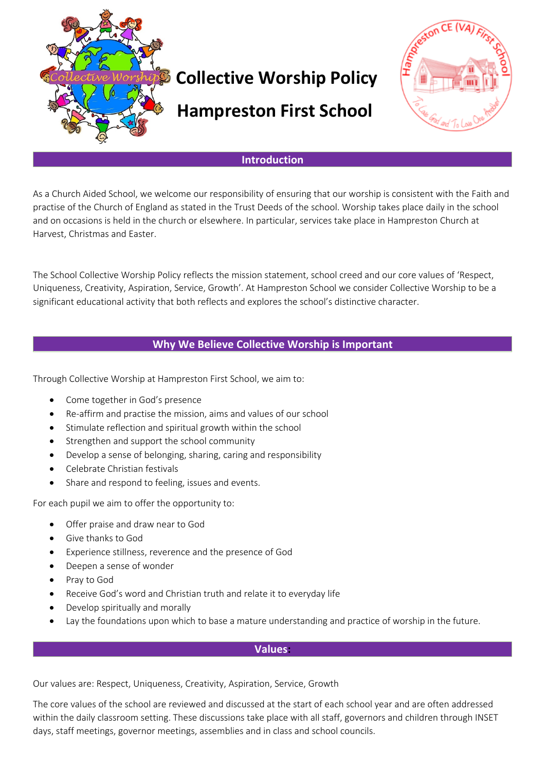

# **Collective Worship Policy**

## **Hampreston First School**



## **Introduction**

As a Church Aided School, we welcome our responsibility of ensuring that our worship is consistent with the Faith and practise of the Church of England as stated in the Trust Deeds of the school. Worship takes place daily in the school and on occasions is held in the church or elsewhere. In particular, services take place in Hampreston Church at Harvest, Christmas and Easter.

The School Collective Worship Policy reflects the mission statement, school creed and our core values of 'Respect, Uniqueness, Creativity, Aspiration, Service, Growth'. At Hampreston School we consider Collective Worship to be a significant educational activity that both reflects and explores the school's distinctive character.

## **Why We Believe Collective Worship is Important**

Through Collective Worship at Hampreston First School, we aim to:

- Come together in God's presence
- Re-affirm and practise the mission, aims and values of our school
- Stimulate reflection and spiritual growth within the school
- Strengthen and support the school community
- Develop a sense of belonging, sharing, caring and responsibility
- Celebrate Christian festivals
- Share and respond to feeling, issues and events.

For each pupil we aim to offer the opportunity to:

- Offer praise and draw near to God
- Give thanks to God
- Experience stillness, reverence and the presence of God
- Deepen a sense of wonder
- Pray to God
- Receive God's word and Christian truth and relate it to everyday life
- Develop spiritually and morally
- Lay the foundations upon which to base a mature understanding and practice of worship in the future.

#### **Values:**

Our values are: Respect, Uniqueness, Creativity, Aspiration, Service, Growth

The core values of the school are reviewed and discussed at the start of each school year and are often addressed within the daily classroom setting. These discussions take place with all staff, governors and children through INSET days, staff meetings, governor meetings, assemblies and in class and school councils.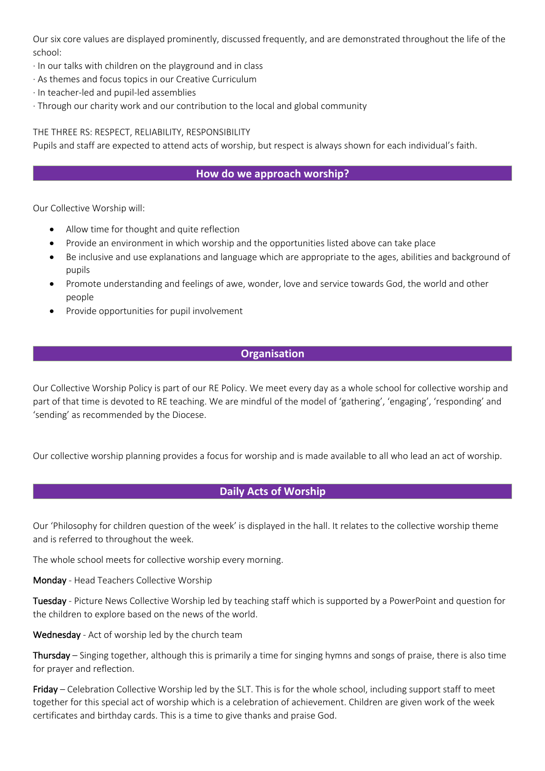Our six core values are displayed prominently, discussed frequently, and are demonstrated throughout the life of the school:

- · In our talks with children on the playground and in class
- · As themes and focus topics in our Creative Curriculum
- · In teacher-led and pupil-led assemblies
- · Through our charity work and our contribution to the local and global community

#### THE THREE RS: RESPECT, RELIABILITY, RESPONSIBILITY

Pupils and staff are expected to attend acts of worship, but respect is always shown for each individual's faith.

#### **How do we approach worship?**

Our Collective Worship will:

- Allow time for thought and quite reflection
- Provide an environment in which worship and the opportunities listed above can take place
- Be inclusive and use explanations and language which are appropriate to the ages, abilities and background of pupils
- Promote understanding and feelings of awe, wonder, love and service towards God, the world and other people
- Provide opportunities for pupil involvement

### **Organisation**

Our Collective Worship Policy is part of our RE Policy. We meet every day as a whole school for collective worship and part of that time is devoted to RE teaching. We are mindful of the model of 'gathering', 'engaging', 'responding' and 'sending' as recommended by the Diocese.

Our collective worship planning provides a focus for worship and is made available to all who lead an act of worship.

## **Daily Acts of Worship**

Our 'Philosophy for children question of the week' is displayed in the hall. It relates to the collective worship theme and is referred to throughout the week.

The whole school meets for collective worship every morning.

Monday - Head Teachers Collective Worship

Tuesday - Picture News Collective Worship led by teaching staff which is supported by a PowerPoint and question for the children to explore based on the news of the world.

Wednesday - Act of worship led by the church team

Thursday – Singing together, although this is primarily a time for singing hymns and songs of praise, there is also time for prayer and reflection.

Friday – Celebration Collective Worship led by the SLT. This is for the whole school, including support staff to meet together for this special act of worship which is a celebration of achievement. Children are given work of the week certificates and birthday cards. This is a time to give thanks and praise God.